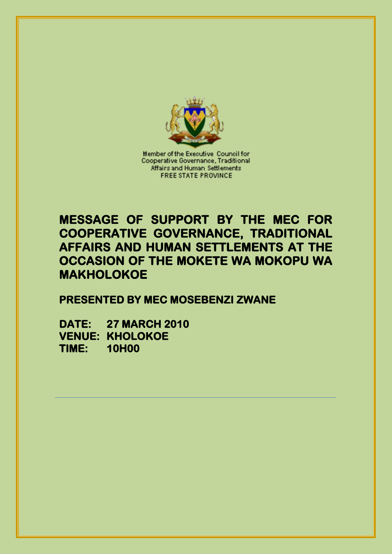

Member of the Executive Council for Cooperative Governance, Traditional Affairs and Human Settlements **FREE STATE PROVINCE** 

## **MESSAGE OF SUPPORT BY THE MEC FOR COOPERATIVE GOVERNANCE, TRADITIONAL AFFAIRS AND HUMAN SETTLEMENTS AT THE OCCASION OF THE MOKETE WA MOKOPU WA MAKHOLOKOE**

**PRESENTED BY MEC MOSEBENZI ZWANE** 

**DATE: 27 MARCH 2010 VENUE: KHOLOKOE TIME: 10H00**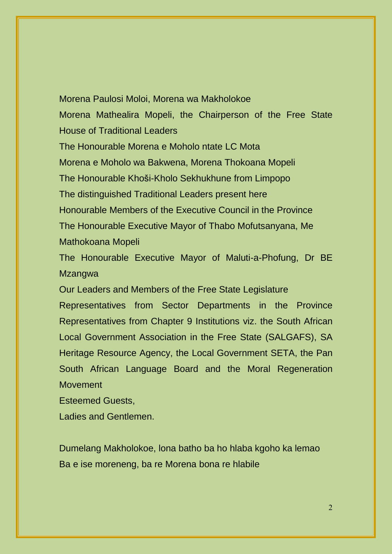## Morena Paulosi Moloi, Morena wa Makholokoe Morena Mathealira Mopeli, the Chairperson of the Free State House of Traditional Leaders The Honourable Morena e Moholo ntate LC Mota Morena e Moholo wa Bakwena, Morena Thokoana Mopeli The Honourable Khoši-Kholo Sekhukhune from Limpopo The distinguished Traditional Leaders present here Honourable Members of the Executive Council in the Province

The Honourable Executive Mayor of Thabo Mofutsanyana, Me Mathokoana Mopeli

The Honourable Executive Mayor of Maluti-a-Phofung, Dr BE Mzangwa

Our Leaders and Members of the Free State Legislature

Representatives from Sector Departments in the Province Representatives from Chapter 9 Institutions viz. the South African Local Government Association in the Free State (SALGAFS), SA Heritage Resource Agency, the Local Government SETA, the Pan South African Language Board and the Moral Regeneration **Movement** 

Esteemed Guests,

Ladies and Gentlemen.

Dumelang Makholokoe, lona batho ba ho hlaba kgoho ka lemao Ba e ise moreneng, ba re Morena bona re hlabile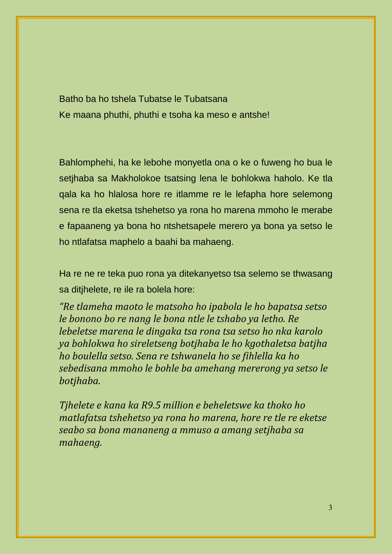Batho ba ho tshela Tubatse le Tubatsana Ke maana phuthi, phuthi e tsoha ka meso e antshe!

Bahlomphehi, ha ke lebohe monyetla ona o ke o fuweng ho bua le setjhaba sa Makholokoe tsatsing lena le bohlokwa haholo. Ke tla qala ka ho hlalosa hore re itlamme re le lefapha hore selemong sena re tla eketsa tshehetso ya rona ho marena mmoho le merabe e fapaaneng ya bona ho ntshetsapele merero ya bona ya setso le ho ntlafatsa maphelo a baahi ba mahaeng.

Ha re ne re teka puo rona ya ditekanyetso tsa selemo se thwasang sa ditjhelete, re ile ra bolela hore:

*"Re tlameha maoto le matsoho ho ipabola le ho bapatsa setso le bonono bo re nang le bona ntle le tshabo ya letho. Re lebeletse marena le dingaka tsa rona tsa setso ho nka karolo ya bohlokwa ho sireletseng botjhaba le ho kgothaletsa batjha ho boulella setso. Sena re tshwanela ho se fihlella ka ho sebedisana mmoho le bohle ba amehang mererong ya setso le botjhaba.*

*Tjhelete e kana ka R9.5 million e beheletswe ka thoko ho matlafatsa tshehetso ya rona ho marena, hore re tle re eketse seabo sa bona mananeng a mmuso a amang setjhaba sa mahaeng.*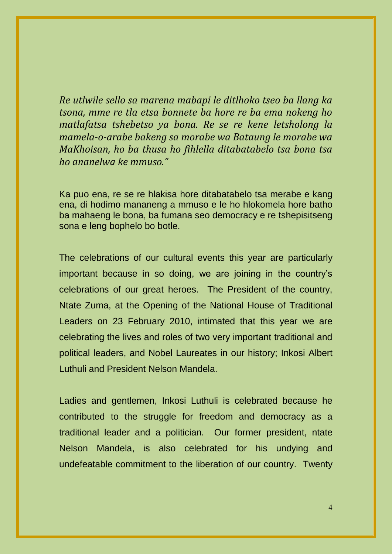*Re utlwile sello sa marena mabapi le ditlhoko tseo ba llang ka tsona, mme re tla etsa bonnete ba hore re ba ema nokeng ho matlafatsa tshebetso ya bona. Re se re kene letsholong la mamela-o-arabe bakeng sa morabe wa Bataung le morabe wa MaKhoisan, ho ba thusa ho fihlella ditabatabelo tsa bona tsa ho ananelwa ke mmuso."*

Ka puo ena, re se re hlakisa hore ditabatabelo tsa merabe e kang ena, di hodimo mananeng a mmuso e le ho hlokomela hore batho ba mahaeng le bona, ba fumana seo democracy e re tshepisitseng sona e leng bophelo bo botle.

The celebrations of our cultural events this year are particularly important because in so doing, we are joining in the country's celebrations of our great heroes. The President of the country, Ntate Zuma, at the Opening of the National House of Traditional Leaders on 23 February 2010, intimated that this year we are celebrating the lives and roles of two very important traditional and political leaders, and Nobel Laureates in our history; Inkosi Albert Luthuli and President Nelson Mandela.

Ladies and gentlemen, Inkosi Luthuli is celebrated because he contributed to the struggle for freedom and democracy as a traditional leader and a politician. Our former president, ntate Nelson Mandela, is also celebrated for his undying and undefeatable commitment to the liberation of our country. Twenty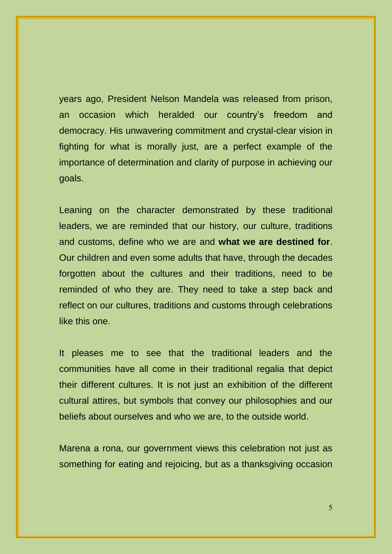years ago, President Nelson Mandela was released from prison, an occasion which heralded our country's freedom and democracy. His unwavering commitment and crystal-clear vision in fighting for what is morally just, are a perfect example of the importance of determination and clarity of purpose in achieving our goals.

Leaning on the character demonstrated by these traditional leaders, we are reminded that our history, our culture, traditions and customs, define who we are and **what we are destined for**. Our children and even some adults that have, through the decades forgotten about the cultures and their traditions, need to be reminded of who they are. They need to take a step back and reflect on our cultures, traditions and customs through celebrations like this one.

It pleases me to see that the traditional leaders and the communities have all come in their traditional regalia that depict their different cultures. It is not just an exhibition of the different cultural attires, but symbols that convey our philosophies and our beliefs about ourselves and who we are, to the outside world.

Marena a rona, our government views this celebration not just as something for eating and rejoicing, but as a thanksgiving occasion

5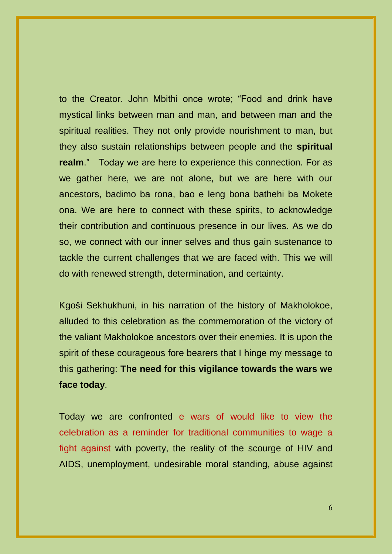to the Creator. John Mbithi once wrote; "Food and drink have mystical links between man and man, and between man and the spiritual realities. They not only provide nourishment to man, but they also sustain relationships between people and the **spiritual realm**." Today we are here to experience this connection. For as we gather here, we are not alone, but we are here with our ancestors, badimo ba rona, bao e leng bona bathehi ba Mokete ona. We are here to connect with these spirits, to acknowledge their contribution and continuous presence in our lives. As we do so, we connect with our inner selves and thus gain sustenance to tackle the current challenges that we are faced with. This we will do with renewed strength, determination, and certainty.

Kgoši Sekhukhuni, in his narration of the history of Makholokoe, alluded to this celebration as the commemoration of the victory of the valiant Makholokoe ancestors over their enemies. It is upon the spirit of these courageous fore bearers that I hinge my message to this gathering: **The need for this vigilance towards the wars we face today**.

Today we are confronted e wars of would like to view the celebration as a reminder for traditional communities to wage a fight against with poverty, the reality of the scourge of HIV and AIDS, unemployment, undesirable moral standing, abuse against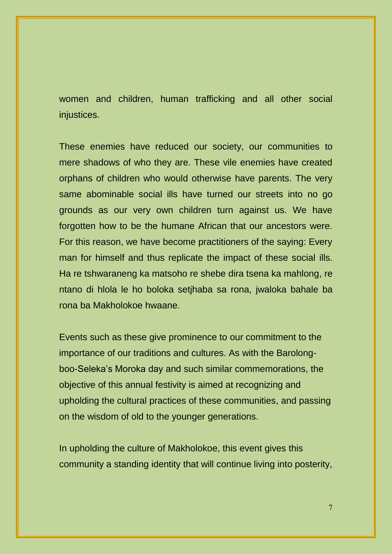women and children, human trafficking and all other social injustices.

These enemies have reduced our society, our communities to mere shadows of who they are. These vile enemies have created orphans of children who would otherwise have parents. The very same abominable social ills have turned our streets into no go grounds as our very own children turn against us. We have forgotten how to be the humane African that our ancestors were. For this reason, we have become practitioners of the saying: Every man for himself and thus replicate the impact of these social ills. Ha re tshwaraneng ka matsoho re shebe dira tsena ka mahlong, re ntano di hlola le ho boloka setjhaba sa rona, jwaloka bahale ba rona ba Makholokoe hwaane.

Events such as these give prominence to our commitment to the importance of our traditions and cultures. As with the Barolongboo-Seleka's Moroka day and such similar commemorations, the objective of this annual festivity is aimed at recognizing and upholding the cultural practices of these communities, and passing on the wisdom of old to the younger generations.

In upholding the culture of Makholokoe, this event gives this community a standing identity that will continue living into posterity,

7